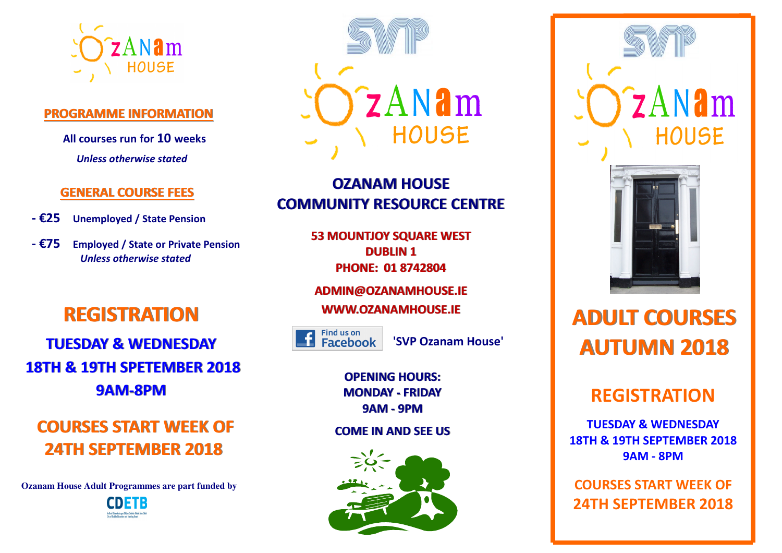

#### **PROGRAMME INFORMATION**

**All courses run for 10 weeks** *Unless otherwise stated*

### **GENERAL COURSE FEES**

- **€25 Unemployed / State Pension**
- **€75 Employed / State or Private Pension** *Unless otherwise stated*

# **REGISTRATION**

**TUESDAY & WEDNESDAY 18TH & 19TH SPETEMBER 20189AM-8PM**

**COURSES START WEEK OF 24TH SEPTEMBER 2018**

 **Ozanam House Adult Programmes are part funded by** 





**OZANAM HOUSE COMMUNITY RESOURCE CENTRE**

> **53 MOUNTJOY SQUARE WESTDUBLIN 1PHONE: 01 8742804**

**ADMIN@OZANAMHOUSE.IE**

**WWW.OZANAMHOUSE.IE**

Find us on Facebook

**'SVP Ozanam House'**

**OPENING HOURS: MONDAY - FRIDAY9AM - 9PM**

#### **COME IN AND SEE US**





# **ADULT COURSES AUTUMN 2018**

# **REGISTRATION**

**TUESDAY & WEDNESDAY 18TH & 19TH SEPTEMBER 2018 9AM - 8PM** 

**COURSES START WEEK OF 24TH SEPTEMBER 2018**